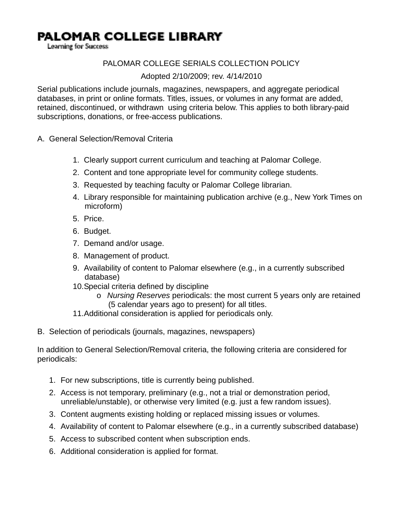## **PALOMAR COLLEGE LIBRARY**

Learning for Success

## PALOMAR COLLEGE SERIALS COLLECTION POLICY

#### Adopted 2/10/2009; rev. 4/14/2010

Serial publications include journals, magazines, newspapers, and aggregate periodical databases, in print or online formats. Titles, issues, or volumes in any format are added, retained, discontinued, or withdrawn using criteria below. This applies to both library-paid subscriptions, donations, or free-access publications.

- A. General Selection/Removal Criteria
	- 1. Clearly support current curriculum and teaching at Palomar College.
	- 2. Content and tone appropriate level for community college students.
	- 3. Requested by teaching faculty or Palomar College librarian.
	- 4. Library responsible for maintaining publication archive (e.g., New York Times on microform)
	- 5. Price.
	- 6. Budget.
	- 7. Demand and/or usage.
	- 8. Management of product.
	- 9. Availability of content to Palomar elsewhere (e.g., in a currently subscribed database)
	- 10. Special criteria defined by discipline
		- o *Nursing Reserves* periodicals: the most current 5 years only are retained (5 calendar years ago to present) for all titles.
	- 11. Additional consideration is applied for periodicals only.
- B. Selection of periodicals (journals, magazines, newspapers)

In addition to General Selection/Removal criteria, the following criteria are considered for periodicals:

- 1. For new subscriptions, title is currently being published.
- 2. Access is not temporary, preliminary (e.g., not a trial or demonstration period, unreliable/unstable), or otherwise very limited (e.g. just a few random issues).
- 3. Content augments existing holding or replaced missing issues or volumes.
- 4. Availability of content to Palomar elsewhere (e.g., in a currently subscribed database)
- 5. Access to subscribed content when subscription ends.
- 6. Additional consideration is applied for format.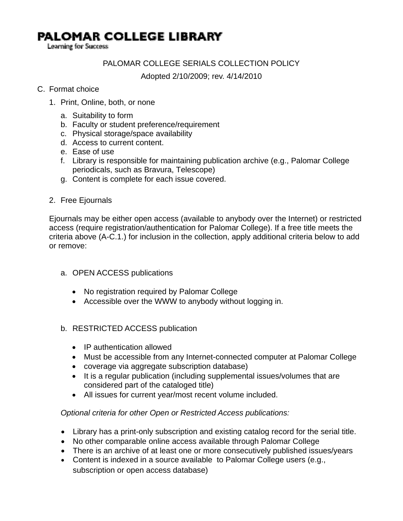## **PALOMAR COLLEGE LIBRARY**

Learning for Success

## PALOMAR COLLEGE SERIALS COLLECTION POLICY

Adopted 2/10/2009; rev. 4/14/2010

### C. Format choice

- 1. Print, Online, both, or none
	- a. Suitability to form
	- b. Faculty or student preference/requirement
	- c. Physical storage/space availability
	- d. Access to current content.
	- e. Ease of use
	- f. Library is responsible for maintaining publication archive (e.g., Palomar College periodicals, such as Bravura, Telescope)
	- g. Content is complete for each issue covered.
- 2. Free Ejournals

Ejournals may be either open access (available to anybody over the Internet) or restricted access (require registration/authentication for Palomar College). If a free title meets the criteria above (A-C.1.) for inclusion in the collection, apply additional criteria below to add or remove:

- a. OPEN ACCESS publications
	- No registration required by Palomar College
	- Accessible over the WWW to anybody without logging in.
- b. RESTRICTED ACCESS publication
	- IP authentication allowed
	- Must be accessible from any Internet-connected computer at Palomar College
	- coverage via aggregate subscription database)
	- It is a regular publication (including supplemental issues/volumes that are considered part of the cataloged title)
	- All issues for current year/most recent volume included.

#### *Optional criteria for other Open or Restricted Access publications:*

- Library has a print-only subscription and existing catalog record for the serial title.
- No other comparable online access available through Palomar College
- There is an archive of at least one or more consecutively published issues/years
- Content is indexed in a source available to Palomar College users (e.g., subscription or open access database)